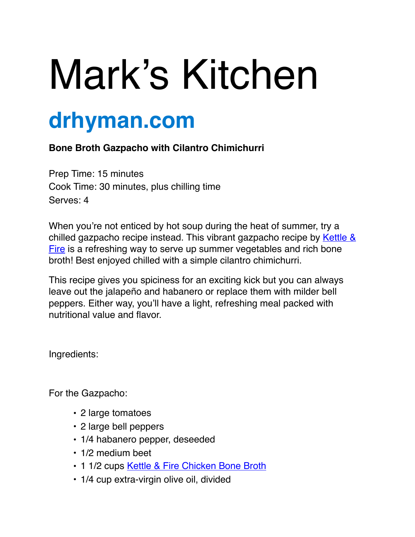## Mark's Kitchen

## **drhyman.com**

## **Bone Broth Gazpacho with Cilantro Chimichurri**

Prep Time: 15 minutes Cook Time: 30 minutes, plus chilling time Serves: 4

When you're not enticed by hot soup during the heat of summer, try a [chilled gazpacho recipe instead. This vibrant gazpacho recipe by Kettle &](https://www.kettleandfire.com/)  Fire is a refreshing way to serve up summer vegetables and rich bone broth! Best enjoyed chilled with a simple cilantro chimichurri.

This recipe gives you spiciness for an exciting kick but you can always leave out the jalapeño and habanero or replace them with milder bell peppers. Either way, you'll have a light, refreshing meal packed with nutritional value and flavor.

Ingredients:

For the Gazpacho:

- 2 large tomatoes
- 2 large bell peppers
- 1/4 habanero pepper, deseeded
- 1/2 medium beet
- 1 1/2 cups [Kettle & Fire Chicken Bone Broth](https://www.kettleandfire.com/chicken-bone-broth)
- 1/4 cup extra-virgin olive oil, divided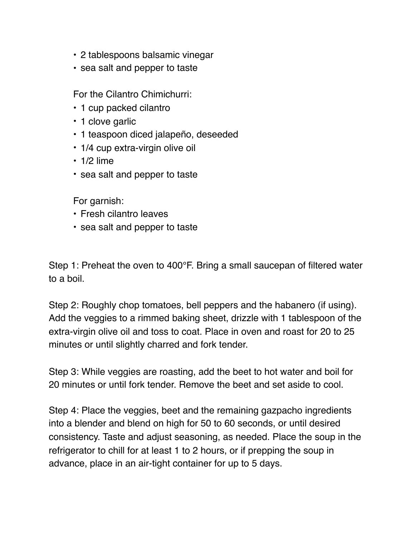- 2 tablespoons balsamic vinegar
- sea salt and pepper to taste

For the Cilantro Chimichurri:

- 1 cup packed cilantro
- 1 clove garlic
- 1 teaspoon diced jalapeño, deseeded
- 1/4 cup extra-virgin olive oil
- $\cdot$  1/2 lime
- sea salt and pepper to taste

For garnish:

- Fresh cilantro leaves
- sea salt and pepper to taste

Step 1: Preheat the oven to 400°F. Bring a small saucepan of filtered water to a boil.

Step 2: Roughly chop tomatoes, bell peppers and the habanero (if using). Add the veggies to a rimmed baking sheet, drizzle with 1 tablespoon of the extra-virgin olive oil and toss to coat. Place in oven and roast for 20 to 25 minutes or until slightly charred and fork tender.

Step 3: While veggies are roasting, add the beet to hot water and boil for 20 minutes or until fork tender. Remove the beet and set aside to cool.

Step 4: Place the veggies, beet and the remaining gazpacho ingredients into a blender and blend on high for 50 to 60 seconds, or until desired consistency. Taste and adjust seasoning, as needed. Place the soup in the refrigerator to chill for at least 1 to 2 hours, or if prepping the soup in advance, place in an air-tight container for up to 5 days.